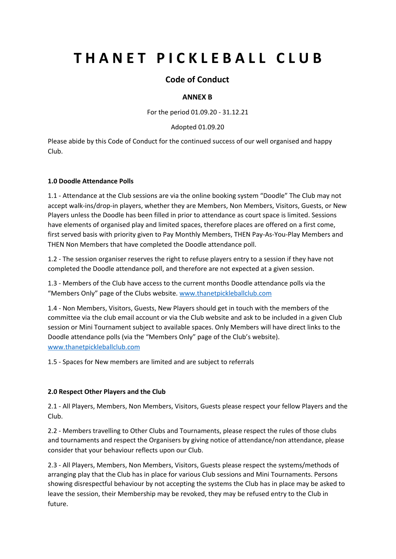# **THANET PICKLEBALL CLUB**

## **Code of Conduct**

### **ANNEX B**

For the period 01.09.20 - 31.12.21

#### Adopted 01.09.20

Please abide by this Code of Conduct for the continued success of our well organised and happy Club.

#### **1.0 Doodle Attendance Polls**

1.1 - Attendance at the Club sessions are via the online booking system "Doodle" The Club may not accept walk-ins/drop-in players, whether they are Members, Non Members, Visitors, Guests, or New Players unless the Doodle has been filled in prior to attendance as court space is limited. Sessions have elements of organised play and limited spaces, therefore places are offered on a first come, first served basis with priority given to Pay Monthly Members, THEN Pay-As-You-Play Members and THEN Non Members that have completed the Doodle attendance poll.

1.2 - The session organiser reserves the right to refuse players entry to a session if they have not completed the Doodle attendance poll, and therefore are not expected at a given session.

1.3 - Members of the Club have access to the current months Doodle attendance polls via the "Members Only" page of the Clubs website. [www.thanetpickleballclub.com](http://www.thanetpickleballclub.com/)

1.4 - Non Members, Visitors, Guests, New Players should get in touch with the members of the committee via the club email account or via the Club website and ask to be included in a given Club session or Mini Tournament subject to available spaces. Only Members will have direct links to the Doodle attendance polls (via the "Members Only" page of the Club's website). [www.thanetpickleballclub.com](http://www.thanetpickleballclub.com/)

1.5 - Spaces for New members are limited and are subject to referrals

#### **2.0 Respect Other Players and the Club**

2.1 - All Players, Members, Non Members, Visitors, Guests please respect your fellow Players and the Club.

2.2 - Members travelling to Other Clubs and Tournaments, please respect the rules of those clubs and tournaments and respect the Organisers by giving notice of attendance/non attendance, please consider that your behaviour reflects upon our Club.

2.3 - All Players, Members, Non Members, Visitors, Guests please respect the systems/methods of arranging play that the Club has in place for various Club sessions and Mini Tournaments. Persons showing disrespectful behaviour by not accepting the systems the Club has in place may be asked to leave the session, their Membership may be revoked, they may be refused entry to the Club in future.